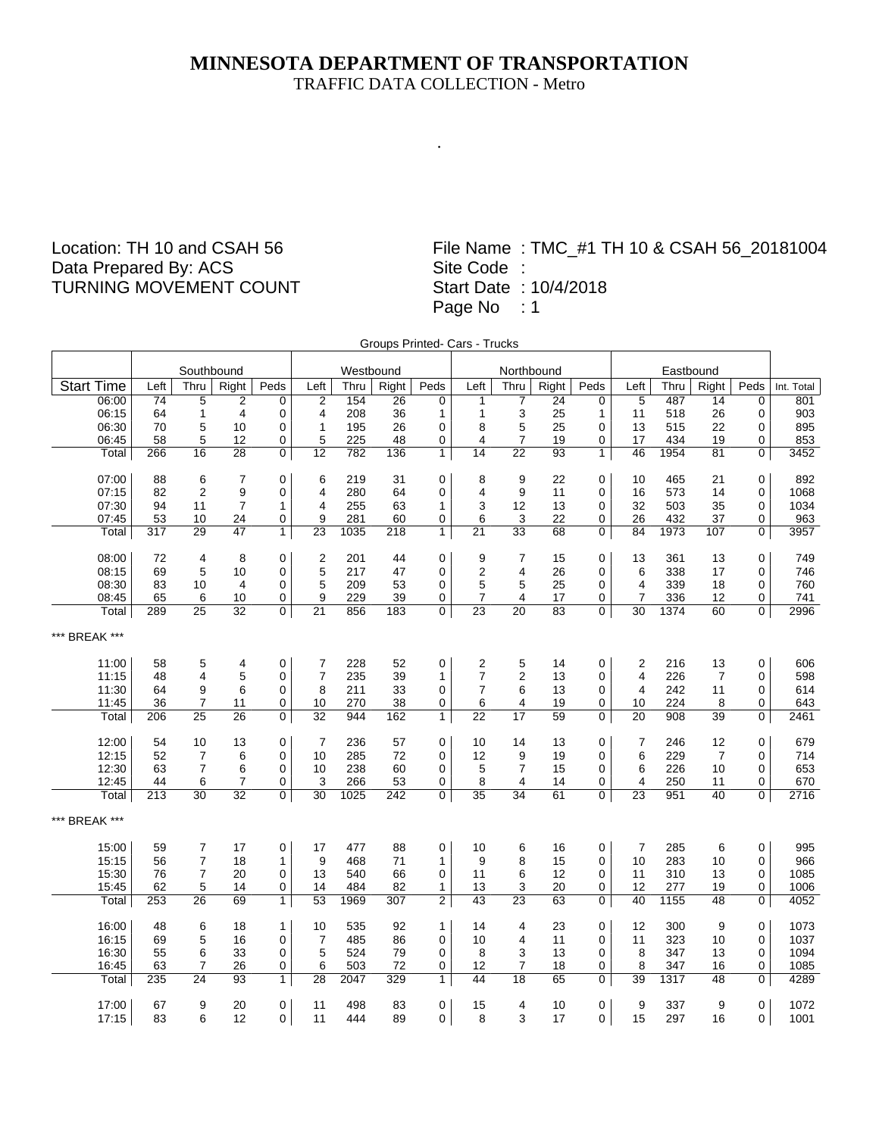# **MINNESOTA DEPARTMENT OF TRANSPORTATION**

TRAFFIC DATA COLLECTION - Metro

.

## Location: TH 10 and CSAH 56 Data Prepared By: ACS TURNING MOVEMENT COUNT

|                   |                 |                 |                 |                |                  |           |                  |                | Groups Printed- Cars - Trucks |                         |                 |                |                 |           |                |                |            |
|-------------------|-----------------|-----------------|-----------------|----------------|------------------|-----------|------------------|----------------|-------------------------------|-------------------------|-----------------|----------------|-----------------|-----------|----------------|----------------|------------|
|                   |                 | Southbound      |                 |                |                  | Westbound |                  |                |                               | Northbound              |                 |                |                 | Eastbound |                |                |            |
| <b>Start Time</b> | Left            | Thru            | Right           | Peds           | Left             | Thru      | Right            | Peds           | Left                          | Thru                    | Right           | Peds           | Left            | Thru      | Right          | Peds           | Int. Total |
| 06:00             | $\overline{74}$ | $\overline{5}$  | $\overline{2}$  | 0              | $\overline{2}$   | 154       | $\overline{26}$  | 0              | $\mathbf{1}$                  | 7                       | $\overline{24}$ | 0              | 5               | 487       | 14             | $\mathbf 0$    | 801        |
| 06:15             | 64              | $\mathbf{1}$    | $\overline{4}$  | 0              | 4                | 208       | 36               | $\mathbf{1}$   | $\mathbf{1}$                  | 3                       | 25              | 1              | 11              | 518       | 26             | 0              | 903        |
| 06:30             | 70              | 5               | 10              | 0              | $\mathbf{1}$     | 195       | 26               | 0              | 8                             | 5                       | 25              | 0              | 13              | 515       | 22             | 0              | 895        |
| 06:45             | 58              | 5               | 12              | 0              | 5                | 225       | 48               | 0              | $\overline{4}$                | $\overline{7}$          | 19              | 0              | 17              | 434       | 19             | 0              | 853        |
| Total             | 266             | 16              | $\overline{28}$ | $\overline{0}$ | $\overline{12}$  | 782       | 136              | $\overline{1}$ | 14                            | $\overline{22}$         | 93              | $\mathbf{1}$   | 46              | 1954      | 81             | 0              | 3452       |
| 07:00             | 88              | 6               | 7               | 0              | 6                | 219       | 31               | 0              | 8                             | 9                       | 22              | $\mathbf 0$    | 10              | 465       | 21             | 0              | 892        |
| 07:15             | 82              | $\overline{2}$  | 9               | 0              | 4                | 280       | 64               | 0              | $\overline{\mathbf{4}}$       | $\boldsymbol{9}$        | 11              | 0              | 16              | 573       | 14             | 0              | 1068       |
| 07:30             | 94              | 11              | $\overline{7}$  | 1              | $\overline{4}$   | 255       | 63               | $\mathbf{1}$   | 3                             | 12                      | 13              | 0              | 32              | 503       | 35             | 0              | 1034       |
| 07:45             | 53              | 10              | 24              | 0              | 9                | 281       | 60               | 0              | 6                             | 3                       | 22              | 0              | 26              | 432       | 37             | 0              | 963        |
| Total             | 317             | 29              | 47              | $\overline{1}$ | $\overline{23}$  | 1035      | 218              | $\overline{1}$ | $\overline{21}$               | 33                      | 68              | 0              | 84              | 1973      | 107            | 0              | 3957       |
| 08:00             | 72              | 4               | 8               | 0              | $\overline{c}$   | 201       | 44               | 0              | 9                             | 7                       | 15              | $\mathbf 0$    | 13              | 361       | 13             | 0              | 749        |
| 08:15             | 69              | 5               | 10              | 0              | 5                | 217       | 47               | 0              | $\boldsymbol{2}$              | 4                       | 26              | 0              | 6               | 338       | 17             | 0              | 746        |
| 08:30             | 83              | 10              | 4               | 0              | 5                | 209       | 53               | 0              | 5                             | 5                       | 25              | 0              | 4               | 339       | 18             | 0              | 760        |
| 08:45             | 65              | 6               | 10              | 0              | 9                | 229       | 39               | 0              | 7                             | 4                       | 17              | 0              | $\overline{7}$  | 336       | 12             | 0              | 741        |
| Total             | 289             | $\overline{25}$ | $\overline{32}$ | 0              | $\overline{21}$  | 856       | 183              | 0              | $\overline{23}$               | 20                      | 83              | 0              | 30              | 1374      | 60             | $\overline{0}$ | 2996       |
| *** BREAK ***     |                 |                 |                 |                |                  |           |                  |                |                               |                         |                 |                |                 |           |                |                |            |
| 11:00             | 58              | 5               | 4               | 0              | $\boldsymbol{7}$ | 228       | 52               | 0              | $\boldsymbol{2}$              | 5                       | 14              | 0              | $\overline{c}$  | 216       | 13             | 0              | 606        |
| 11:15             | 48              | 4               | 5               | 0              | $\overline{7}$   | 235       | 39               | $\mathbf{1}$   | $\overline{7}$                | $\overline{2}$          | 13              | 0              | 4               | 226       | $\overline{7}$ | 0              | 598        |
| 11:30             | 64              | 9               | 6               | 0              | 8                | 211       | 33               | 0              | $\overline{\mathcal{I}}$      | 6                       | 13              | 0              | 4               | 242       | 11             | 0              | 614        |
| 11:45             | 36              | $\overline{7}$  | 11              | 0              | 10               | 270       | 38               | 0              | 6                             | $\overline{\mathbf{4}}$ | 19              | 0              | 10              | 224       | 8              | 0              | 643        |
| Total             | 206             | 25              | 26              | 0              | 32               | 944       | 162              | $\mathbf{1}$   | 22                            | 17                      | 59              | 0              | 20              | 908       | 39             | 0              | 2461       |
| 12:00             | 54              | 10              | 13              | 0              | $\overline{7}$   | 236       | 57               | 0              | 10                            | 14                      | 13              | 0              | 7               | 246       | 12             | 0              | 679        |
| 12:15             | 52              | $\overline{7}$  | 6               | 0              | 10               | 285       | 72               | 0              | 12                            | 9                       | 19              | $\mathbf 0$    | 6               | 229       | $\overline{7}$ | $\Omega$       | 714        |
| 12:30             | 63              | $\overline{7}$  | 6               | 0              | 10               | 238       | 60               | 0              | 5                             | $\overline{7}$          | 15              | 0              | 6               | 226       | 10             | 0              | 653        |
| 12:45             | 44              | 6               | $\overline{7}$  | 0              | 3                | 266       | 53               | 0              | 8                             | 4                       | 14              | 0              | 4               | 250       | 11             | 0              | 670        |
| Total             | 213             | $\overline{30}$ | $\overline{32}$ | 0              | $\overline{30}$  | 1025      | 242              | 0              | $\overline{35}$               | $\overline{34}$         | 61              | 0              | $\overline{23}$ | 951       | 40             | $\overline{0}$ | 2716       |
| *** BREAK ***     |                 |                 |                 |                |                  |           |                  |                |                               |                         |                 |                |                 |           |                |                |            |
| 15:00             | 59              | 7               | 17              | 0              | 17               | 477       | 88               | 0              | 10                            | 6                       | 16              | $\mathbf 0$    | $\overline{7}$  | 285       | 6              | 0              | 995        |
| 15:15             | 56              | 7               | 18              | 1              | 9                | 468       | 71               | $\mathbf{1}$   | 9                             | 8                       | 15              | 0              | 10              | 283       | 10             | 0              | 966        |
| 15:30             | 76              | $\overline{7}$  | 20              | 0              | 13               | 540       | 66               | 0              | 11                            | 6                       | 12              | 0              | 11              | 310       | 13             | 0              | 1085       |
| 15:45             | 62              | 5               | 14              | 0              | 14               | 484       | 82               | 1              | 13                            | 3                       | 20              | 0              | 12              | 277       | 19             | 0              | 1006       |
| Total             | 253             | $\overline{26}$ | 69              | $\overline{1}$ | $\overline{53}$  | 1969      | $\overline{307}$ | $\overline{2}$ | $\overline{43}$               | $\overline{23}$         | 63              | $\overline{0}$ | 40              | 1155      | 48             | $\overline{0}$ | 4052       |
| 16:00             | 48              | 6               | 18              | 1              | 10               | 535       | 92               | $\mathbf{1}$   | 14                            | $\overline{4}$          | 23              | $\pmb{0}$      | 12              | 300       | 9              | $\mathbf 0$    | 1073       |
| 16:15             | 69              | 5               | 16              | 0              | $\overline{7}$   | 485       | 86               | 0              | 10                            | $\overline{4}$          | 11              | 0              | 11              | 323       | 10             | 0              | 1037       |
| 16:30             | 55              | 6               | 33              | 0              | $\mathbf 5$      | 524       | 79               | 0              | 8                             | 3                       | 13              | 0              | 8               | 347       | 13             | 0              | 1094       |
| 16:45             | 63              | 7               | 26              | 0              | 6                | 503       | 72               | 0              | 12                            | $\overline{7}$          | 18              | 0              | 8               | 347       | 16             | 0              | 1085       |
| Total             | 235             | 24              | 93              | $\mathbf{1}$   | $\overline{28}$  | 2047      | 329              | $\overline{1}$ | 44                            | 18                      | 65              | 0              | 39              | 1317      | 48             | 0              | 4289       |
| 17:00             | 67              | 9               | 20              | 0              | 11               | 498       | 83               | 0              | 15                            | 4                       | 10              | $\mathbf 0$    | 9               | 337       | 9              | 0              | 1072       |
| 17:15             | 83              | 6               | 12              | 0              | 11               | 444       | 89               | 0              | 8                             | 3                       | 17              | 0              | 15              | 297       | 16             | $\Omega$       | 1001       |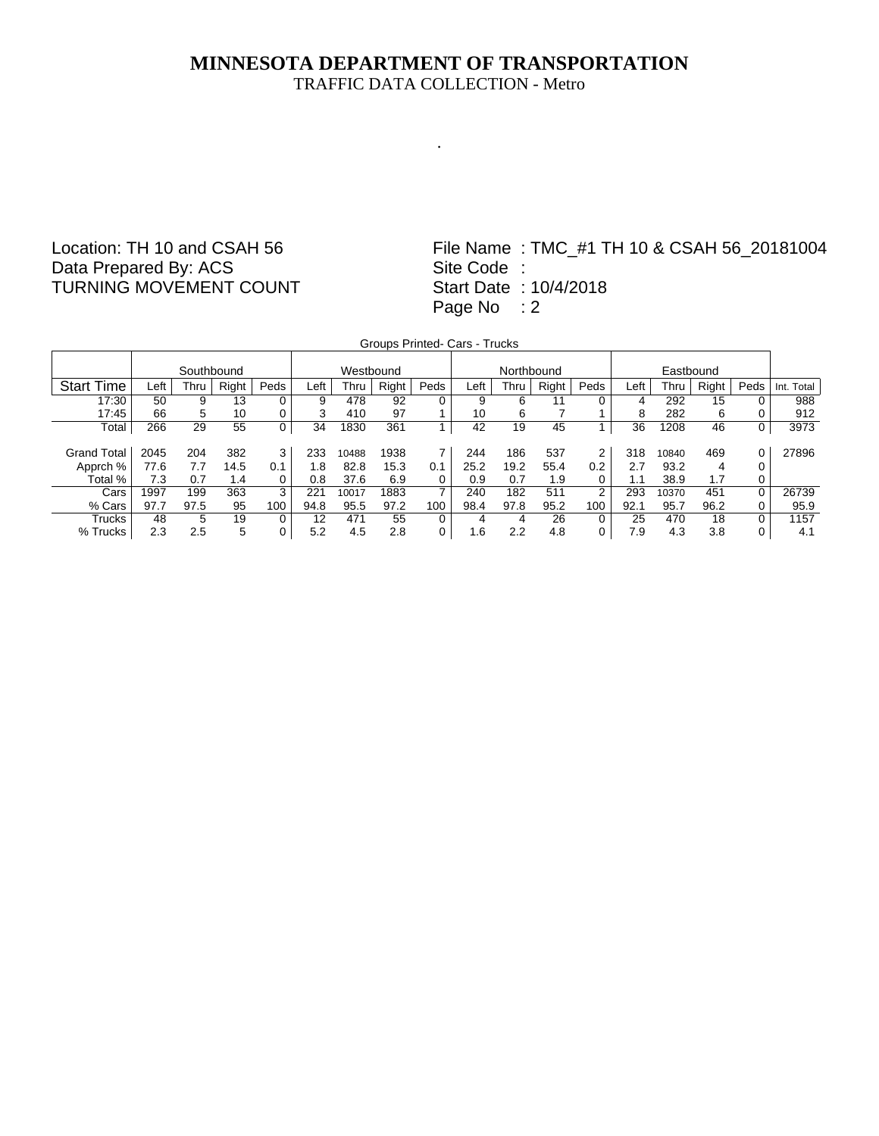.

#### Location: TH 10 and CSAH 56 Data Prepared By: ACS TURNING MOVEMENT COUNT

|                    | Groups Printed- Cars - Trucks |            |       |      |      |           |       |                |      |            |       |                |      |       |       |      |            |
|--------------------|-------------------------------|------------|-------|------|------|-----------|-------|----------------|------|------------|-------|----------------|------|-------|-------|------|------------|
|                    |                               |            |       |      |      |           |       |                |      |            |       |                |      |       |       |      |            |
|                    |                               | Southbound |       |      |      | Westbound |       |                |      | Northbound |       |                |      |       |       |      |            |
| <b>Start Time</b>  | Left                          | Thru       | Right | Peds | Left | Thru      | Right | Peds           | Left | Thru       | Right | Peds           | Left | Thru  | Right | Peds | Int. Total |
| 17:30              | 50                            | 9          | 13    | 0    | 9    | 478       | 92    | 0              | 9    | 6          | 11    | 0              | 4    | 292   | 15    |      | 988        |
| 17:45              | 66                            | 5          | 10    | 0    | 3    | 410       | 97    |                | 10   | 6          |       |                | 8    | 282   | 6     |      | 912        |
| Total              | 266                           | 29         | 55    | 0    | 34   | 1830      | 361   |                | 42   | 19         | 45    |                | 36   | 1208  | 46    |      | 3973       |
|                    |                               |            |       |      |      |           |       |                |      |            |       |                |      |       |       |      |            |
| <b>Grand Total</b> | 2045                          | 204        | 382   | 3    | 233  | 10488     | 1938  |                | 244  | 186        | 537   | 2              | 318  | 10840 | 469   |      | 27896      |
| Apprch %           | 77.6                          | 7.7        | 14.5  | 0.1  | 1.8  | 82.8      | 15.3  | 0.1            | 25.2 | 19.2       | 55.4  | 0.2            | 2.7  | 93.2  | 4     |      |            |
| Total %            | 7.3                           | 0.7        | 1.4   | 0    | 0.8  | 37.6      | 6.9   | 0              | 0.9  | 0.7        | 1.9   |                | 1.1  | 38.9  | 1.7   |      |            |
| Cars               | 1997                          | 199        | 363   | 3    | 221  | 10017     | 1883  | $\overline{7}$ | 240  | 182        | 511   | $\overline{2}$ | 293  | 10370 | 451   | 0    | 26739      |
| % Cars             | 97.7                          | 97.5       | 95    | 100  | 94.8 | 95.5      | 97.2  | 100            | 98.4 | 97.8       | 95.2  | 100            | 92.1 | 95.7  | 96.2  |      | 95.9       |
| Trucks             | 48                            | 5          | 19    | 0    | 12   | 471       | 55    | 0              | 4    | 4          | 26    | 0              | 25   | 470   | 18    |      | 1157       |
| % Trucks           | 2.3                           | 2.5        | 5     | 0    | 5.2  | 4.5       | 2.8   | 0              | 1.6  | 2.2        | 4.8   | 0              | 7.9  | 4.3   | 3.8   |      | 4.1        |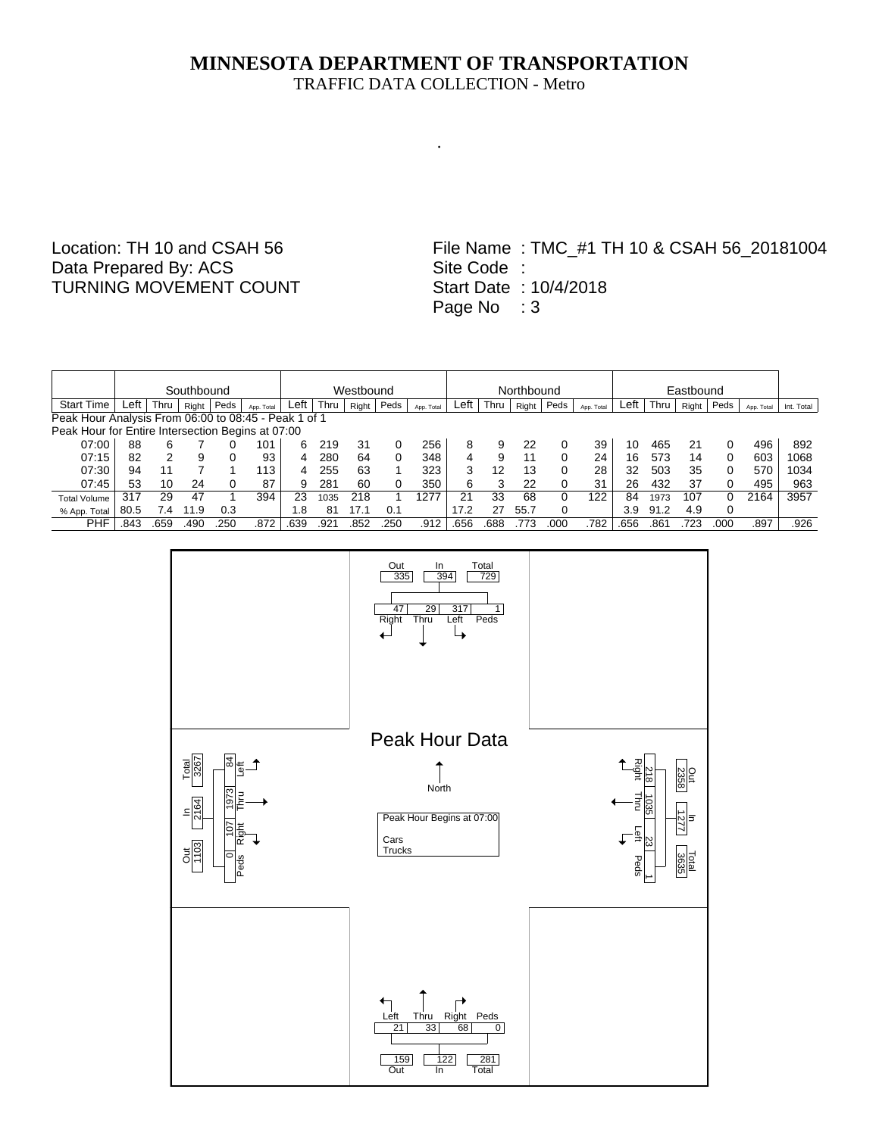.

## Location: TH 10 and CSAH 56 Data Prepared By: ACS TURNING MOVEMENT COUNT

|                                                      |        | Southbound<br>Westbound |       |          |            |      |      |       |      |            |      |      | Northbound |      |            |      |      |       | Eastbound |            |            |  |  |  |  |
|------------------------------------------------------|--------|-------------------------|-------|----------|------------|------|------|-------|------|------------|------|------|------------|------|------------|------|------|-------|-----------|------------|------------|--|--|--|--|
| <b>Start Time</b>                                    | ∟eft ∶ | Thru                    | Right | Peds     | App. Total | Left | Thru | Right | Peds | App. Total | Left | Thru | Right      | Peds | App. Total | Left | Thru | Right | Peds      | App. Total | Int. Total |  |  |  |  |
| Peak Hour Analysis From 06:00 to 08:45 - Peak 1 of 1 |        |                         |       |          |            |      |      |       |      |            |      |      |            |      |            |      |      |       |           |            |            |  |  |  |  |
| Peak Hour for Entire Intersection Begins at 07:00    |        |                         |       |          |            |      |      |       |      |            |      |      |            |      |            |      |      |       |           |            |            |  |  |  |  |
| 07:00                                                | 88     | 6                       |       |          | 101        | 6    | 219  | 31    |      | 256        | 8    | 9    | 22         |      | 39         | 10   | 465  | 21    |           | 496        | 892        |  |  |  |  |
| 07:15                                                | 82     | 2                       | 9     | $\Omega$ | 93         | 4    | 280  | 64    |      | 348        | 4    | 9    | 11         |      | 24         | 16   | 573  | 14    | 0         | 603        | 1068       |  |  |  |  |
| 07:30                                                | 94     | 11                      |       |          | 113        |      | 255  | 63    |      | 323        | 3    | 12   | 13         |      | 28         | 32   | 503  | 35    | 0         | 570        | 1034       |  |  |  |  |
| 07:45                                                | 53     | 10                      | 24    |          | 87         | 9    | 281  | 60    |      | 350        | 6    |      | 22         |      | 31         | 26   | 432  | 37    | 0         | 495        | 963        |  |  |  |  |
| <b>Total Volume</b>                                  | 317    | 29                      | 47    |          | 394        | 23   | 1035 | 218   |      | 1277       | 21   | 33   | 68         | 0    | 122        | 84   | 1973 | 107   |           | 2164       | 3957       |  |  |  |  |
| % App. Total                                         | 80.5   |                         | 1.9   | 0.3      |            | .8   | 81   | 17.1  | 0.1  |            | 17.2 | 27   | 55.7       | 0    |            | 3.9  | 91.2 | 4.9   | 0         |            |            |  |  |  |  |
| PHF                                                  | .843   | .659                    | .490  | 250      | .872       | .639 | .921 | .852  | 250  | .912       | .656 | .688 | 773        | 00C  | 782        | .656 | 86   | 723   | .000      | .897       | .926       |  |  |  |  |

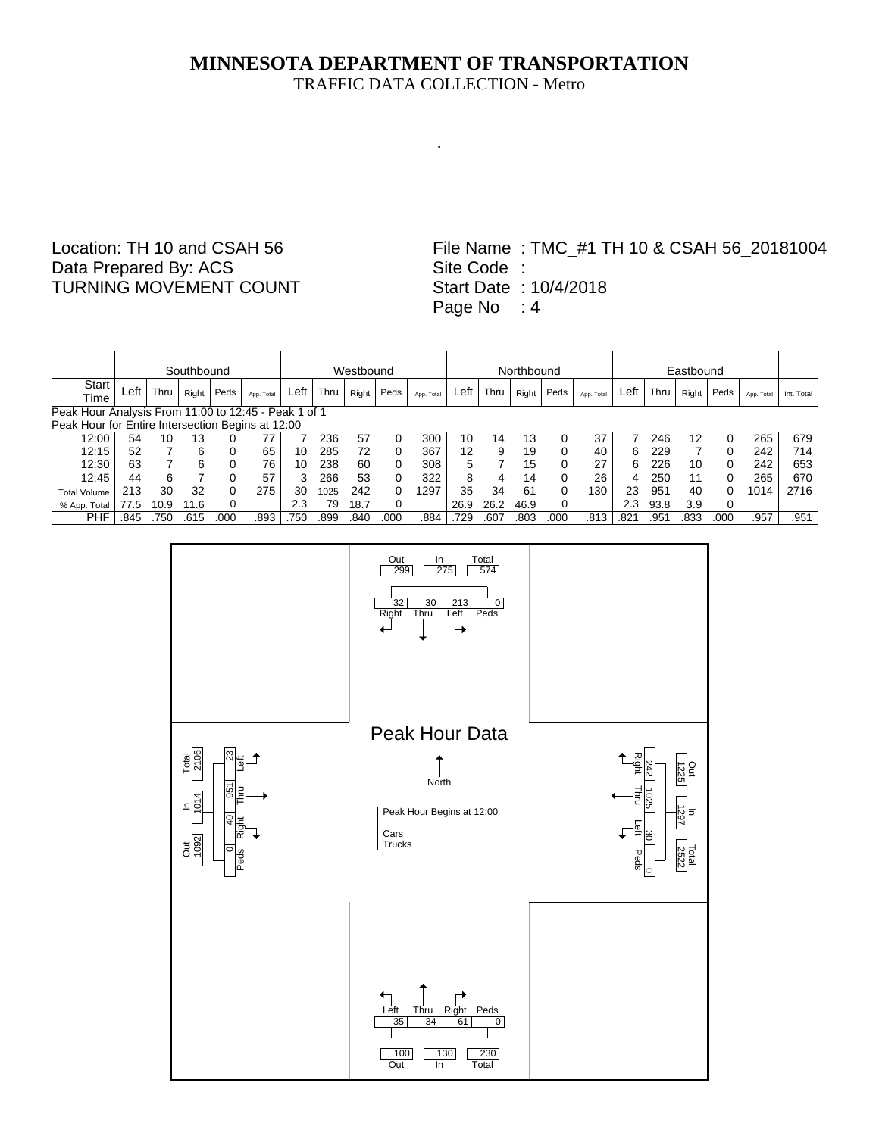.

## Location: TH 10 and CSAH 56 Data Prepared By: ACS TURNING MOVEMENT COUNT

|                                                      |      |      | Southbound |      |            | Westbound |      |       |              |            |      |      | Northbound |      |            |      |      |       |          |            |            |
|------------------------------------------------------|------|------|------------|------|------------|-----------|------|-------|--------------|------------|------|------|------------|------|------------|------|------|-------|----------|------------|------------|
| Start                                                | Left | Thru | Right      | Peds | App. Total | Left      | Thru | Right | Peds         | App. Total | Left | Thru | Right      | Peds |            | Left | Thru | Right | Peds     | App. Total | Int. Total |
| Time                                                 |      |      |            |      |            |           |      |       |              |            |      |      |            |      | App. Total |      |      |       |          |            |            |
| Peak Hour Analysis From 11:00 to 12:45 - Peak 1 of 1 |      |      |            |      |            |           |      |       |              |            |      |      |            |      |            |      |      |       |          |            |            |
| Peak Hour for Entire Intersection Begins at 12:00    |      |      |            |      |            |           |      |       |              |            |      |      |            |      |            |      |      |       |          |            |            |
| 12:00                                                | 54   | 10   | 13         |      | 77         |           | 236  | 57    |              | 300        | 10   | 14   | 13         | 0    | 37         |      | 246  | 12    | 0        | 265        | 679        |
| 12:15                                                | 52   |      | 6          |      | 65         | 10        | 285  | 72    |              | 367        | 12   | 9    | 19         | 0    | 40         | 6.   | 229  |       | $\Omega$ | 242        | 714        |
| 12:30                                                | 63   |      | 6          |      | 76         | 10        | 238  | 60    | 0            | 308        | 5    |      | 15         | 0    | 27         | 6    | 226  | 10    | 0        | 242        | 653        |
| 12:45                                                | 44   | 6    |            |      | 57         | 3         | 266  | 53    |              | 322        | 8    | 4    | 14         |      | 26         | 4    | 250  | 11    | 0        | 265        | 670        |
| <b>Total Volume</b>                                  | 213  | 30   | 32         |      | 275        | 30        | 1025 | 242   | <sup>n</sup> | 1297       | 35   | 34   | 61         | 0    | 130        | 23   | 951  | 40    | 0        | 1014       | 2716       |
| % App. Total                                         | 77.5 | 10.9 | 11.6       |      |            | 2.3       | 79   | 18.7  |              |            | 26.9 | 26.2 | 46.9       | 0    |            | 2.3  | 93.8 | 3.9   | 0        |            |            |
| PHF                                                  | .845 | 750  | .615       | .000 | .893       | .750      | .899 | .840  | .000         | .884       | .729 | .607 | .803       | 000  | .813       | .821 | .951 | 833   | .000     | .957       | .951       |